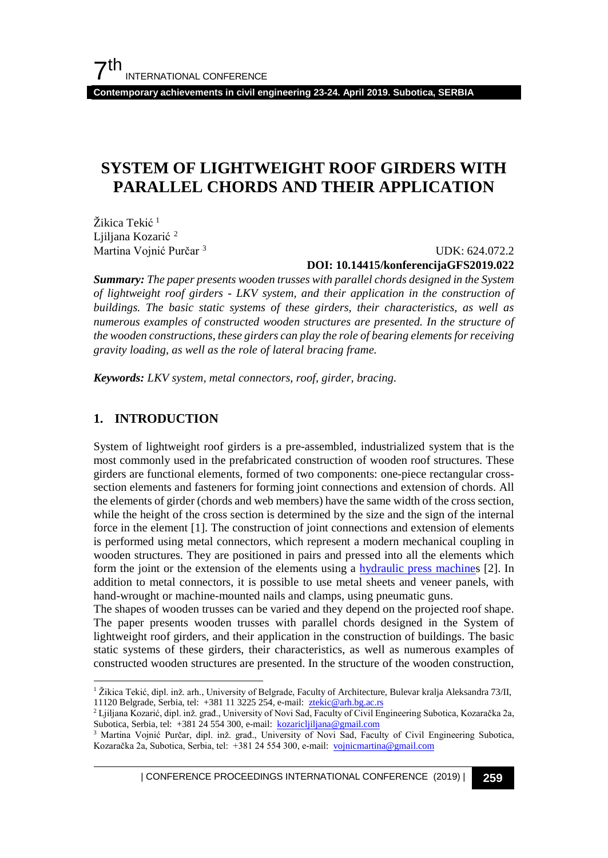**Contemporary achievements in civil engineering 23-24. April 2019. Subotica, SERBIA**

## **SYSTEM OF LIGHTWEIGHT ROOF GIRDERS WITH PARALLEL CHORDS AND THEIR APPLICATION**

Žikica Tekić<sup>[1](#page-0-0)</sup> Ljiljana Kozarić <sup>[2](#page-0-1)</sup> Martina Vojnić Purčar [3](#page-0-2)

#### UDK: 624.072.2 **DOI: 10.14415/konferencijaGFS2019.022**

*Summary: The paper presents wooden trusses with parallel chords designed in the System of lightweight roof girders - LKV system, and their application in the construction of buildings. The basic static systems of these girders, their characteristics, as well as numerous examples of constructed wooden structures are presented. In the structure of the wooden constructions, these girders can play the role of bearing elements for receiving gravity loading, as well as the role of lateral bracing frame.*

*Keywords: LKV system, metal connectors, roof, girder, bracing.*

#### **1. INTRODUCTION**

System of lightweight roof girders is a pre-assembled, industrialized system that is the most commonly used in the prefabricated construction of wooden roof structures. These girders are functional elements, formed of two components: one-piece rectangular crosssection elements and fasteners for forming joint connections and extension of chords. All the elements of girder (chords and web members) have the same width of the cross section, while the height of the cross section is determined by the size and the sign of the internal force in the element [1]. The construction of joint connections and extension of elements is performed using metal connectors, which represent a modern mechanical coupling in wooden structures. They are positioned in pairs and pressed into all the elements which form the joint or the extension of the elements using a [hydraulic press machines](https://www.google.rs/url?sa=i&rct=j&q=&esrc=s&source=images&cd=&ved=0ahUKEwjHparIwYnhAhWIaFAKHQUUB1MQMwhrKAMwAw&url=https%3A%2F%2Fwww.alibaba.com%2Fproduct-detail%2FHYDRAULIC-PRESS-machine-HP-30_203111090.html&psig=AOvVaw0F8f8qHMC7wcLtuTESOOx3&ust=1552923656550159&ictx=3&uact=3) [2]. In addition to metal connectors, it is possible to use metal sheets and veneer panels, with hand-wrought or machine-mounted nails and clamps, using pneumatic guns.

The shapes of wooden trusses can be varied and they depend on the projected roof shape. The paper presents wooden trusses with parallel chords designed in the System of lightweight roof girders, and their application in the construction of buildings. The basic static systems of these girders, their characteristics, as well as numerous examples of constructed wooden structures are presented. In the structure of the wooden construction,

| CONFERENCE PROCEEDINGS INTERNATIONAL CONFERENCE (2019) <sup>|</sup>**259**

<span id="page-0-0"></span> <sup>1</sup> Žikica Tekić, dipl. inž. arh., University of Belgrade, Faculty of Architecture, Bulevar kralja Aleksandra 73/II, 11120 Belgrade, Serbia, tel: +381 11 3225 254, e-mail: ztekic@arh.bg.ac.rs

<span id="page-0-1"></span><sup>2</sup> Ljiljana Kozarić, dipl. inž. građ., University of Novi Sad, Faculty of Civil Engineering Subotica, Kozaračka 2a, Subotica, Serbia, tel: +381 24 554 300, e-mail: kozaricljiljana@gmail.com

<span id="page-0-2"></span><sup>&</sup>lt;sup>3</sup> Martina Vojnić Purčar, dipl. inž. građ., University of Novi Sad, Faculty of Civil Engineering Subotica, Kozaračka 2a, Subotica, Serbia, tel: +381 24 554 300, e-mail: vojnicmartina@gmail.com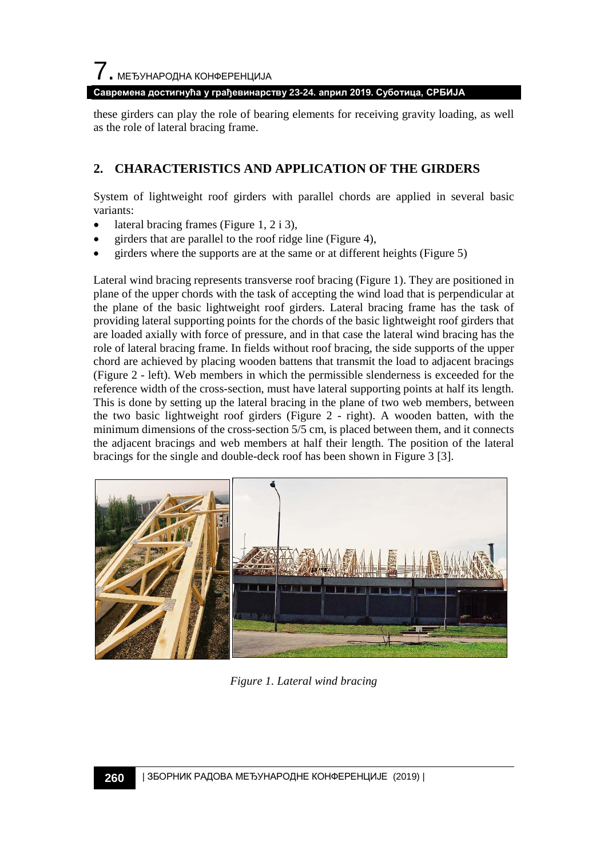7. МЕЂУНАРОДНА КОНФЕРЕНЦИЈА

**Савремена достигнућа у грађевинарству 23-24. април 2019. Суботица, СРБИЈА**

these girders can play the role of bearing elements for receiving gravity loading, as well as the role of lateral bracing frame.

#### **2. CHARACTERISTICS AND APPLICATION OF THE GIRDERS**

System of lightweight roof girders with parallel chords are applied in several basic variants:

- lateral bracing frames (Figure 1, 2 i 3),
- girders that are parallel to the roof ridge line (Figure 4),
- girders where the supports are at the same or at different heights (Figure 5)

Lateral wind bracing represents transverse roof bracing (Figure 1). They are positioned in plane of the upper chords with the task of accepting the wind load that is perpendicular at the plane of the basic lightweight roof girders. Lateral bracing frame has the task of providing lateral supporting points for the chords of the basic lightweight roof girders that are loaded axially with force of pressure, and in that case the lateral wind bracing has the role of lateral bracing frame. In fields without roof bracing, the side supports of the upper chord are achieved by placing wooden battens that transmit the load to adjacent bracings (Figure 2 - left). Web members in which the permissible slenderness is exceeded for the reference width of the cross-section, must have lateral supporting points at half its length. This is done by setting up the lateral bracing in the plane of two web members, between the two basic lightweight roof girders (Figure 2 - right). A wooden batten, with the minimum dimensions of the cross-section 5/5 cm, is placed between them, and it connects the adjacent bracings and web members at half their length. The position of the lateral bracings for the single and double-deck roof has been shown in Figure 3 [3].



*Figure 1. Lateral wind bracing*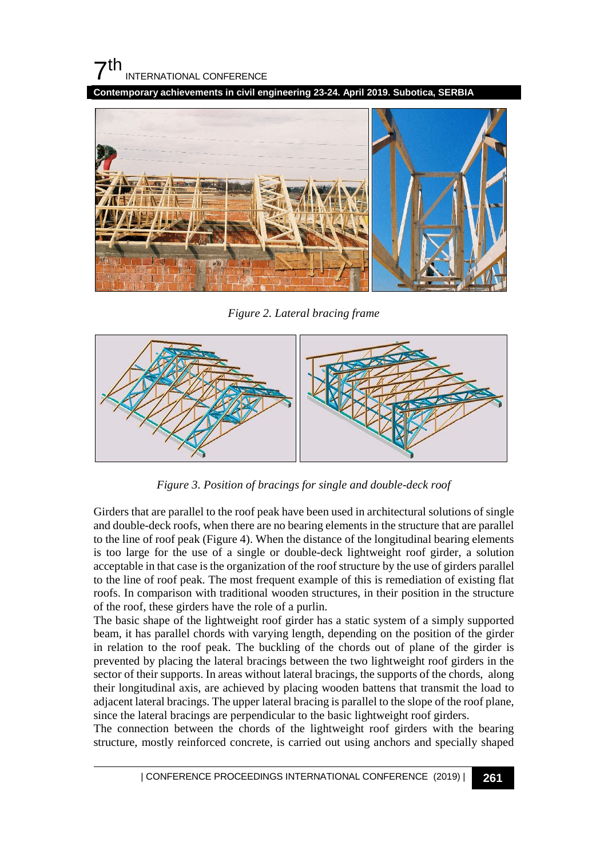## $7<sup>th</sup>$ INTERNATIONAL CONFERENCE

**Contemporary achievements in civil engineering 23-24. April 2019. Subotica, SERBIA**



*Figure 2. Lateral bracing frame*



*Figure 3. Position of bracings for single and double-deck roof*

Girders that are parallel to the roof peak have been used in architectural solutions of single and double-deck roofs, when there are no bearing elements in the structure that are parallel to the line of roof peak (Figure 4). When the distance of the longitudinal bearing elements is too large for the use of a single or double-deck lightweight roof girder, a solution acceptable in that case is the organization of the roof structure by the use of girders parallel to the line of roof peak. The most frequent example of this is remediation of existing flat roofs. In comparison with traditional wooden structures, in their position in the structure of the roof, these girders have the role of a purlin.

The basic shape of the lightweight roof girder has a static system of a simply supported beam, it has parallel chords with varying length, depending on the position of the girder in relation to the roof peak. The buckling of the chords out of plane of the girder is prevented by placing the lateral bracings between the two lightweight roof girders in the sector of their supports. In areas without lateral bracings, the supports of the chords, along their longitudinal axis, are achieved by placing wooden battens that transmit the load to adjacent lateral bracings. The upper lateral bracing is parallel to the slope of the roof plane, since the lateral bracings are perpendicular to the basic lightweight roof girders.

The connection between the chords of the lightweight roof girders with the bearing structure, mostly reinforced concrete, is carried out using anchors and specially shaped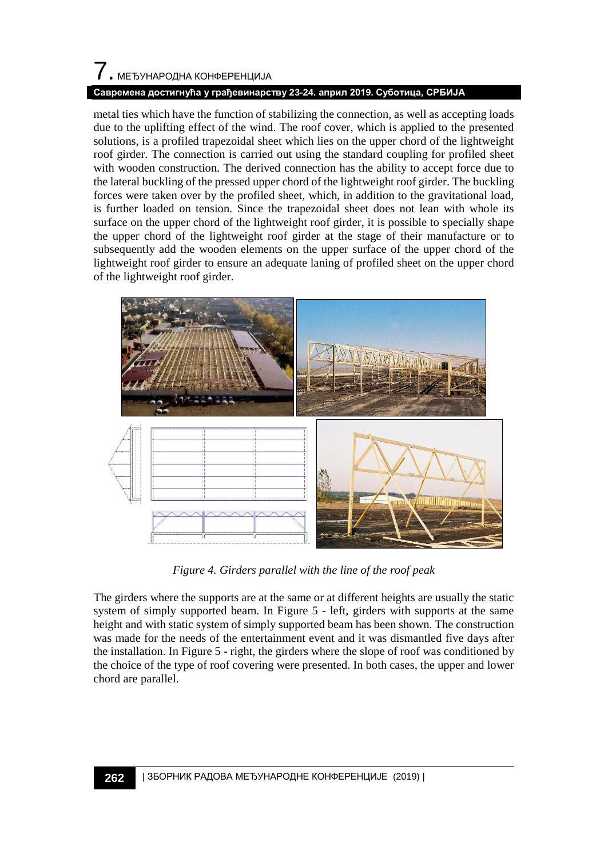# 7. МЕЂУНАРОДНА КОНФЕРЕНЦИЈА

#### **Савремена достигнућа у грађевинарству 23-24. април 2019. Суботица, СРБИЈА**

metal ties which have the function of stabilizing the connection, as well as accepting loads due to the uplifting effect of the wind. The roof cover, which is applied to the presented solutions, is a profiled trapezoidal sheet which lies on the upper chord of the lightweight roof girder. The connection is carried out using the standard coupling for profiled sheet with wooden construction. The derived connection has the ability to accept force due to the lateral buckling of the pressed upper chord of the lightweight roof girder. The buckling forces were taken over by the profiled sheet, which, in addition to the gravitational load, is further loaded on tension. Since the trapezoidal sheet does not lean with whole its surface on the upper chord of the lightweight roof girder, it is possible to specially shape the upper chord of the lightweight roof girder at the stage of their manufacture or to subsequently add the wooden elements on the upper surface of the upper chord of the lightweight roof girder to ensure an adequate laning of profiled sheet on the upper chord of the lightweight roof girder.



*Figure 4. Girders parallel with the line of the roof peak*

The girders where the supports are at the same or at different heights are usually the static system of simply supported beam. In Figure 5 - left, girders with supports at the same height and with static system of simply supported beam has been shown. The construction was made for the needs of the entertainment event and it was dismantled five days after the installation. In Figure 5 - right, the girders where the slope of roof was conditioned by the choice of the type of roof covering were presented. In both cases, the upper and lower chord are parallel.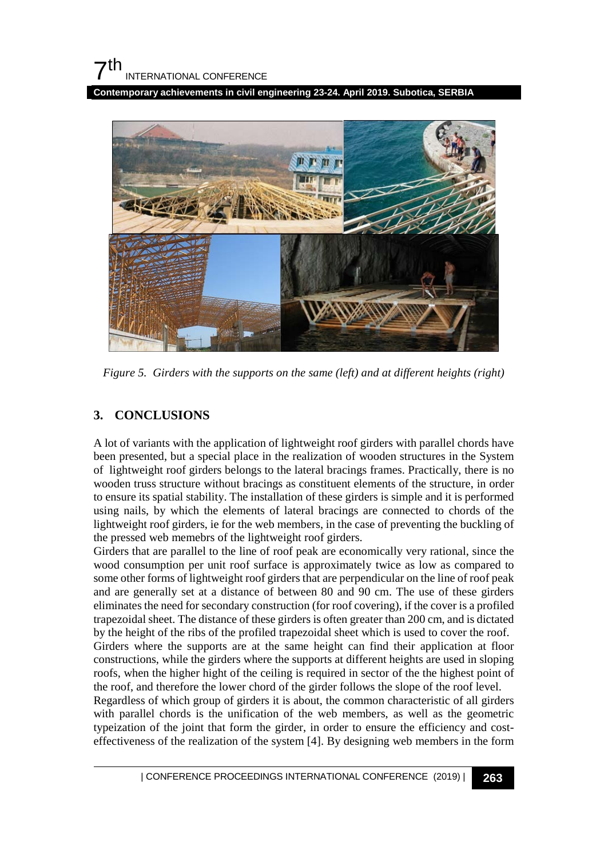**Contemporary achievements in civil engineering 23-24. April 2019. Subotica, SERBIA**



*Figure 5. Girders with the supports on the same (left) and at different heights (right)*

### **3. CONCLUSIONS**

A lot of variants with the application of lightweight roof girders with parallel chords have been presented, but a special place in the realization of wooden structures in the System of lightweight roof girders belongs to the lateral bracings frames. Practically, there is no wooden truss structure without bracings as constituent elements of the structure, in order to ensure its spatial stability. The installation of these girders is simple and it is performed using nails, by which the elements of lateral bracings are connected to chords of the lightweight roof girders, ie for the web members, in the case of preventing the buckling of the pressed web memebrs of the lightweight roof girders.

Girders that are parallel to the line of roof peak are economically very rational, since the wood consumption per unit roof surface is approximately twice as low as compared to some other forms of lightweight roof girders that are perpendicular on the line of roof peak and are generally set at a distance of between 80 and 90 cm. The use of these girders eliminates the need for secondary construction (for roof covering), if the cover is a profiled trapezoidal sheet. The distance of these girders is often greater than 200 cm, and is dictated by the height of the ribs of the profiled trapezoidal sheet which is used to cover the roof. Girders where the supports are at the same height can find their application at floor constructions, while the girders where the supports at different heights are used in sloping roofs, when the higher hight of the ceiling is required in sector of the the highest point of

the roof, and therefore the lower chord of the girder follows the slope of the roof level. Regardless of which group of girders it is about, the common characteristic of all girders with parallel chords is the unification of the web members, as well as the geometric typeization of the joint that form the girder, in order to ensure the efficiency and costeffectiveness of the realization of the system [4]. By designing web members in the form